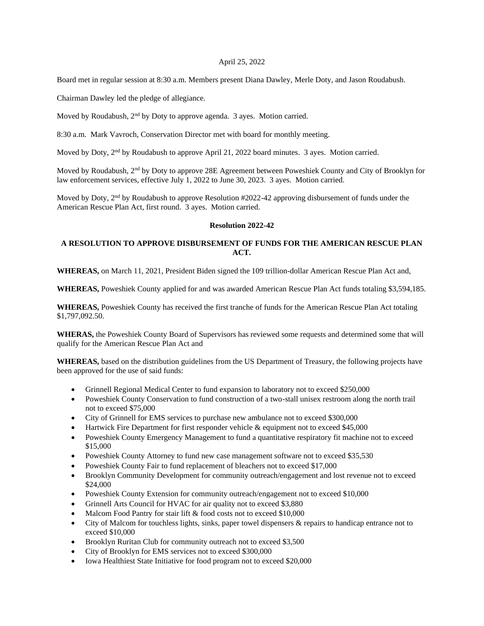### April 25, 2022

Board met in regular session at 8:30 a.m. Members present Diana Dawley, Merle Doty, and Jason Roudabush.

Chairman Dawley led the pledge of allegiance.

Moved by Roudabush, 2<sup>nd</sup> by Doty to approve agenda. 3 ayes. Motion carried.

8:30 a.m. Mark Vavroch, Conservation Director met with board for monthly meeting.

Moved by Doty, 2<sup>nd</sup> by Roudabush to approve April 21, 2022 board minutes. 3 ayes. Motion carried.

Moved by Roudabush, 2<sup>nd</sup> by Doty to approve 28E Agreement between Poweshiek County and City of Brooklyn for law enforcement services, effective July 1, 2022 to June 30, 2023. 3 ayes. Motion carried.

Moved by Doty, 2nd by Roudabush to approve Resolution #2022-42 approving disbursement of funds under the American Rescue Plan Act, first round. 3 ayes. Motion carried.

### **Resolution 2022-42**

# **A RESOLUTION TO APPROVE DISBURSEMENT OF FUNDS FOR THE AMERICAN RESCUE PLAN ACT.**

**WHEREAS,** on March 11, 2021, President Biden signed the 109 trillion-dollar American Rescue Plan Act and,

**WHEREAS,** Poweshiek County applied for and was awarded American Rescue Plan Act funds totaling \$3,594,185.

**WHEREAS,** Poweshiek County has received the first tranche of funds for the American Rescue Plan Act totaling \$1,797,092.50.

**WHERAS,** the Poweshiek County Board of Supervisors has reviewed some requests and determined some that will qualify for the American Rescue Plan Act and

**WHEREAS,** based on the distribution guidelines from the US Department of Treasury, the following projects have been approved for the use of said funds:

- Grinnell Regional Medical Center to fund expansion to laboratory not to exceed \$250,000
- Poweshiek County Conservation to fund construction of a two-stall unisex restroom along the north trail not to exceed \$75,000
- City of Grinnell for EMS services to purchase new ambulance not to exceed \$300,000
- Hartwick Fire Department for first responder vehicle & equipment not to exceed \$45,000
- Poweshiek County Emergency Management to fund a quantitative respiratory fit machine not to exceed \$15,000
- Poweshiek County Attorney to fund new case management software not to exceed \$35,530
- Poweshiek County Fair to fund replacement of bleachers not to exceed \$17,000
- Brooklyn Community Development for community outreach/engagement and lost revenue not to exceed \$24,000
- Poweshiek County Extension for community outreach/engagement not to exceed \$10,000
- Grinnell Arts Council for HVAC for air quality not to exceed \$3,880
- Malcom Food Pantry for stair lift & food costs not to exceed \$10,000
- City of Malcom for touchless lights, sinks, paper towel dispensers & repairs to handicap entrance not to exceed \$10,000
- Brooklyn Ruritan Club for community outreach not to exceed \$3,500
- City of Brooklyn for EMS services not to exceed \$300,000
- Iowa Healthiest State Initiative for food program not to exceed \$20,000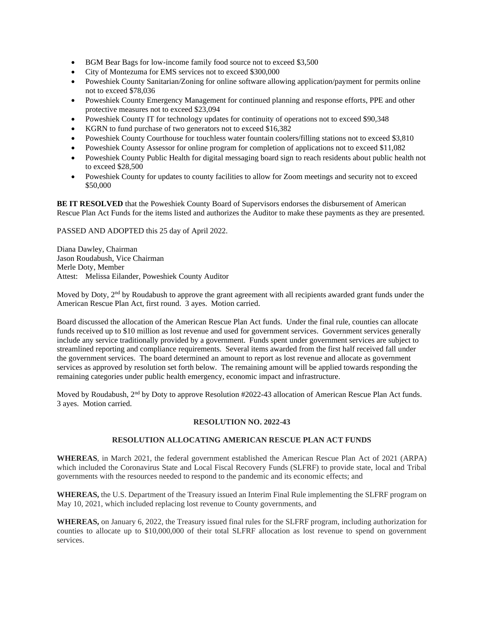- BGM Bear Bags for low-income family food source not to exceed \$3,500
- City of Montezuma for EMS services not to exceed \$300,000
- Poweshiek County Sanitarian/Zoning for online software allowing application/payment for permits online not to exceed \$78,036
- Poweshiek County Emergency Management for continued planning and response efforts, PPE and other protective measures not to exceed \$23,094
- Poweshiek County IT for technology updates for continuity of operations not to exceed \$90,348
- KGRN to fund purchase of two generators not to exceed \$16,382
- Poweshiek County Courthouse for touchless water fountain coolers/filling stations not to exceed \$3,810
- Poweshiek County Assessor for online program for completion of applications not to exceed \$11,082
- Poweshiek County Public Health for digital messaging board sign to reach residents about public health not to exceed \$28,500
- Poweshiek County for updates to county facilities to allow for Zoom meetings and security not to exceed \$50,000

**BE IT RESOLVED** that the Poweshiek County Board of Supervisors endorses the disbursement of American Rescue Plan Act Funds for the items listed and authorizes the Auditor to make these payments as they are presented.

PASSED AND ADOPTED this 25 day of April 2022.

Diana Dawley, Chairman Jason Roudabush, Vice Chairman Merle Doty, Member Attest: Melissa Eilander, Poweshiek County Auditor

Moved by Doty, 2<sup>nd</sup> by Roudabush to approve the grant agreement with all recipients awarded grant funds under the American Rescue Plan Act, first round. 3 ayes. Motion carried.

Board discussed the allocation of the American Rescue Plan Act funds. Under the final rule, counties can allocate funds received up to \$10 million as lost revenue and used for government services. Government services generally include any service traditionally provided by a government. Funds spent under government services are subject to streamlined reporting and compliance requirements. Several items awarded from the first half received fall under the government services. The board determined an amount to report as lost revenue and allocate as government services as approved by resolution set forth below. The remaining amount will be applied towards responding the remaining categories under public health emergency, economic impact and infrastructure.

Moved by Roudabush, 2<sup>nd</sup> by Doty to approve Resolution #2022-43 allocation of American Rescue Plan Act funds. 3 ayes. Motion carried.

## **RESOLUTION NO. 2022-43**

### **RESOLUTION ALLOCATING AMERICAN RESCUE PLAN ACT FUNDS**

**WHEREAS**, in March 2021, the federal government established the American Rescue Plan Act of 2021 (ARPA) which included the Coronavirus State and Local Fiscal Recovery Funds (SLFRF) to provide state, local and Tribal governments with the resources needed to respond to the pandemic and its economic effects; and

**WHEREAS,** the U.S. Department of the Treasury issued an Interim Final Rule implementing the SLFRF program on May 10, 2021, which included replacing lost revenue to County governments, and

**WHEREAS,** on January 6, 2022, the Treasury issued final rules for the SLFRF program, including authorization for counties to allocate up to \$10,000,000 of their total SLFRF allocation as lost revenue to spend on government services.